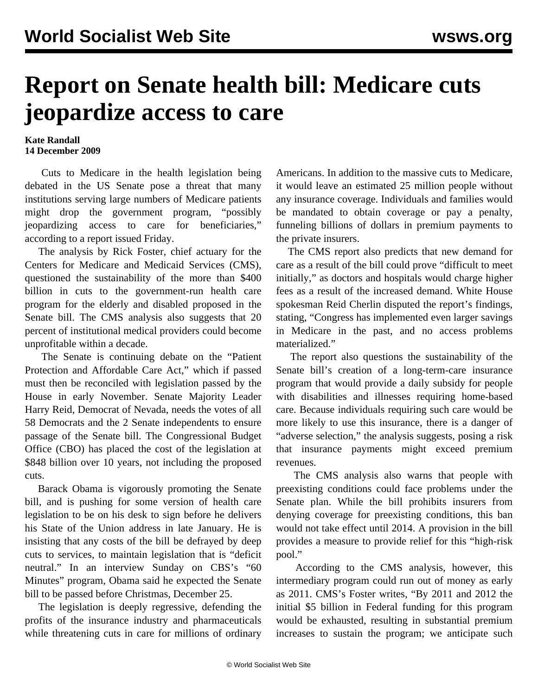## **Report on Senate health bill: Medicare cuts jeopardize access to care**

## **Kate Randall 14 December 2009**

 Cuts to Medicare in the health legislation being debated in the US Senate pose a threat that many institutions serving large numbers of Medicare patients might drop the government program, "possibly jeopardizing access to care for beneficiaries," according to a report issued Friday.

 The analysis by Rick Foster, chief actuary for the Centers for Medicare and Medicaid Services (CMS), questioned the sustainability of the more than \$400 billion in cuts to the government-run health care program for the elderly and disabled proposed in the Senate bill. The CMS analysis also suggests that 20 percent of institutional medical providers could become unprofitable within a decade.

 The Senate is continuing debate on the "Patient Protection and Affordable Care Act," which if passed must then be reconciled with legislation passed by the House in early November. Senate Majority Leader Harry Reid, Democrat of Nevada, needs the votes of all 58 Democrats and the 2 Senate independents to ensure passage of the Senate bill. The Congressional Budget Office (CBO) has placed the cost of the legislation at \$848 billion over 10 years, not including the proposed cuts.

 Barack Obama is vigorously promoting the Senate bill, and is pushing for some version of health care legislation to be on his desk to sign before he delivers his State of the Union address in late January. He is insisting that any costs of the bill be defrayed by deep cuts to services, to maintain legislation that is "deficit neutral." In an interview Sunday on CBS's "60 Minutes" program, Obama said he expected the Senate bill to be passed before Christmas, December 25.

 The legislation is deeply regressive, defending the profits of the insurance industry and pharmaceuticals while threatening cuts in care for millions of ordinary

Americans. In addition to the massive cuts to Medicare, it would leave an estimated 25 million people without any insurance coverage. Individuals and families would be mandated to obtain coverage or pay a penalty, funneling billions of dollars in premium payments to the private insurers.

 The CMS report also predicts that new demand for care as a result of the bill could prove "difficult to meet initially," as doctors and hospitals would charge higher fees as a result of the increased demand. White House spokesman Reid Cherlin disputed the report's findings, stating, "Congress has implemented even larger savings in Medicare in the past, and no access problems materialized."

 The report also questions the sustainability of the Senate bill's creation of a long-term-care insurance program that would provide a daily subsidy for people with disabilities and illnesses requiring home-based care. Because individuals requiring such care would be more likely to use this insurance, there is a danger of "adverse selection," the analysis suggests, posing a risk that insurance payments might exceed premium revenues.

 The CMS analysis also warns that people with preexisting conditions could face problems under the Senate plan. While the bill prohibits insurers from denying coverage for preexisting conditions, this ban would not take effect until 2014. A provision in the bill provides a measure to provide relief for this "high-risk pool."

 According to the CMS analysis, however, this intermediary program could run out of money as early as 2011. CMS's Foster writes, "By 2011 and 2012 the initial \$5 billion in Federal funding for this program would be exhausted, resulting in substantial premium increases to sustain the program; we anticipate such